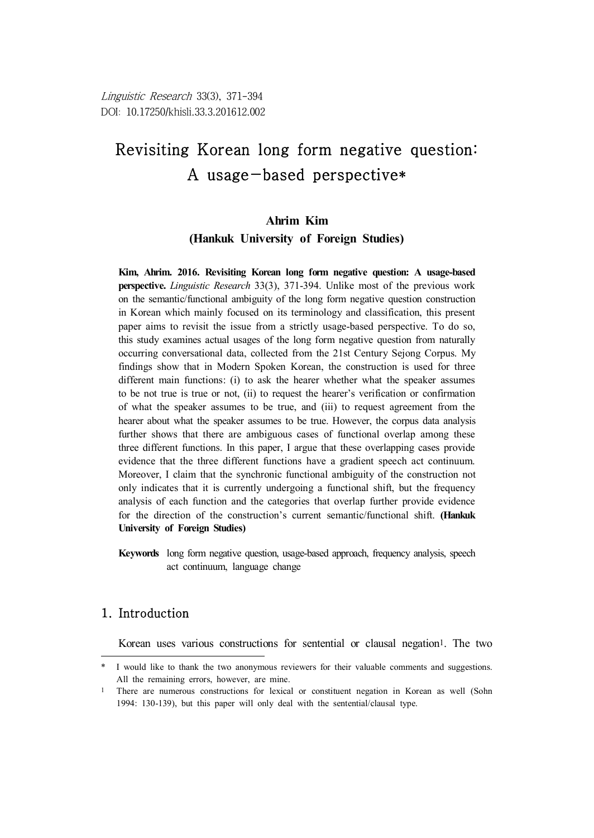#### **Ahrim Kim**

**(Hankuk University of Foreign Studies)**

**Kim, Ahrim. 2016. Revisiting Korean long form negative question: A usage-based perspective.** *Linguistic Research* 33(3), 371-394. Unlike most of the previous work on the semantic/functional ambiguity of the long form negative question construction in Korean which mainly focused on its terminology and classification, this present paper aims to revisit the issue from a strictly usage-based perspective. To do so, this study examines actual usages of the long form negative question from naturally occurring conversational data, collected from the 21st Century Sejong Corpus. My findings show that in Modern Spoken Korean, the construction is used for three different main functions: (i) to ask the hearer whether what the speaker assumes to be not true is true or not, (ii) to request the hearer's verification or confirmation of what the speaker assumes to be true, and (iii) to request agreement from the hearer about what the speaker assumes to be true. However, the corpus data analysis further shows that there are ambiguous cases of functional overlap among these three different functions. In this paper, I argue that these overlapping cases provide evidence that the three different functions have a gradient speech act continuum. Moreover, I claim that the synchronic functional ambiguity of the construction not only indicates that it is currently undergoing a functional shift, but the frequency analysis of each function and the categories that overlap further provide evidence for the direction of the construction's current semantic/functional shift. **(Hankuk University of Foreign Studies)**

**Keywords** long form negative question, usage-based approach, frequency analysis, speech act continuum, language change

## 1. Introduction

Korean uses various constructions for sentential or clausal negation1. The two

<sup>\*</sup> I would like to thank the two anonymous reviewers for their valuable comments and suggestions. All the remaining errors, however, are mine.

<sup>1</sup> There are numerous constructions for lexical or constituent negation in Korean as well (Sohn 1994: 130-139), but this paper will only deal with the sentential/clausal type.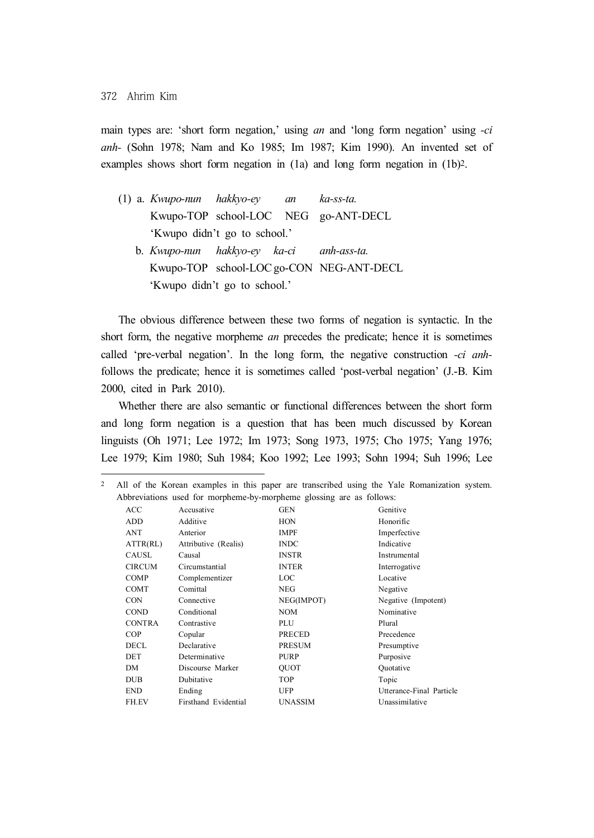main types are: 'short form negation,' using *an* and 'long form negation' using *-ci anh-* (Sohn 1978; Nam and Ko 1985; Im 1987; Kim 1990). An invented set of examples shows short form negation in (1a) and long form negation in (1b)2.

|  | $(1)$ a. Kwupo-nun hakkyo-ey an ka-ss-ta. |                                          |
|--|-------------------------------------------|------------------------------------------|
|  |                                           | Kwupo-TOP school-LOC NEG go-ANT-DECL     |
|  | 'Kwupo didn't go to school.'              |                                          |
|  | b. Kwupo-nun hakkyo-ey ka-ci anh-ass-ta.  |                                          |
|  |                                           | Kwupo-TOP school-LOC go-CON NEG-ANT-DECL |
|  | 'Kwupo didn't go to school.'              |                                          |

The obvious difference between these two forms of negation is syntactic. In the short form, the negative morpheme *an* precedes the predicate; hence it is sometimes called 'pre-verbal negation'. In the long form, the negative construction *-ci anh*follows the predicate; hence it is sometimes called 'post-verbal negation' (J.-B. Kim 2000, cited in Park 2010).

Whether there are also semantic or functional differences between the short form and long form negation is a question that has been much discussed by Korean linguists (Oh 1971; Lee 1972; Im 1973; Song 1973, 1975; Cho 1975; Yang 1976; Lee 1979; Kim 1980; Suh 1984; Koo 1992; Lee 1993; Sohn 1994; Suh 1996; Lee

| 2 |                          |                                                                      |                | All of the Korean examples in this paper are transcribed using the Yale Romanization system. |  |
|---|--------------------------|----------------------------------------------------------------------|----------------|----------------------------------------------------------------------------------------------|--|
|   |                          | Abbreviations used for morpheme-by-morpheme glossing are as follows: |                |                                                                                              |  |
|   | ACC                      | Accusative                                                           | <b>GEN</b>     | Genitive                                                                                     |  |
|   | ADD                      | Additive                                                             | <b>HON</b>     | Honorific                                                                                    |  |
|   | ANT                      | Anterior                                                             | <b>IMPF</b>    | Imperfective                                                                                 |  |
|   | $\text{ATTR}(\text{RL})$ | Attributive (Realis)                                                 | <b>INDC</b>    | Indicative                                                                                   |  |
|   | CAUSL                    | Causal                                                               | <b>INSTR</b>   | Instrumental                                                                                 |  |
|   | <b>CIRCUM</b>            | Circumstantial                                                       | <b>INTER</b>   | Interrogative                                                                                |  |
|   | COMP                     | Complementizer                                                       | LOC            | Locative                                                                                     |  |
|   | COMT                     | Comittal                                                             | <b>NEG</b>     | Negative                                                                                     |  |
|   | <b>CON</b>               | Connective                                                           | NEG(IMPOT)     | Negative (Impotent)                                                                          |  |
|   | <b>COND</b>              | Conditional                                                          | <b>NOM</b>     | Nominative                                                                                   |  |
|   | <b>CONTRA</b>            | Contrastive                                                          | PLU            | Plural                                                                                       |  |
|   | <b>COP</b>               | Copular                                                              | PRECED         | Precedence                                                                                   |  |
|   | DECL                     | Declarative                                                          | <b>PRESUM</b>  | Presumptive                                                                                  |  |
|   | <b>DET</b>               | Determinative                                                        | <b>PURP</b>    | Purposive                                                                                    |  |
|   | DΜ                       | Discourse Marker                                                     | <b>OUOT</b>    | Quotative                                                                                    |  |
|   | <b>DUB</b>               | Dubitative                                                           | <b>TOP</b>     | Topic                                                                                        |  |
|   | <b>END</b>               | Ending                                                               | UFP            | Utterance-Final Particle                                                                     |  |
|   | FH.EV                    | Firsthand Evidential                                                 | <b>UNASSIM</b> | Unassimilative                                                                               |  |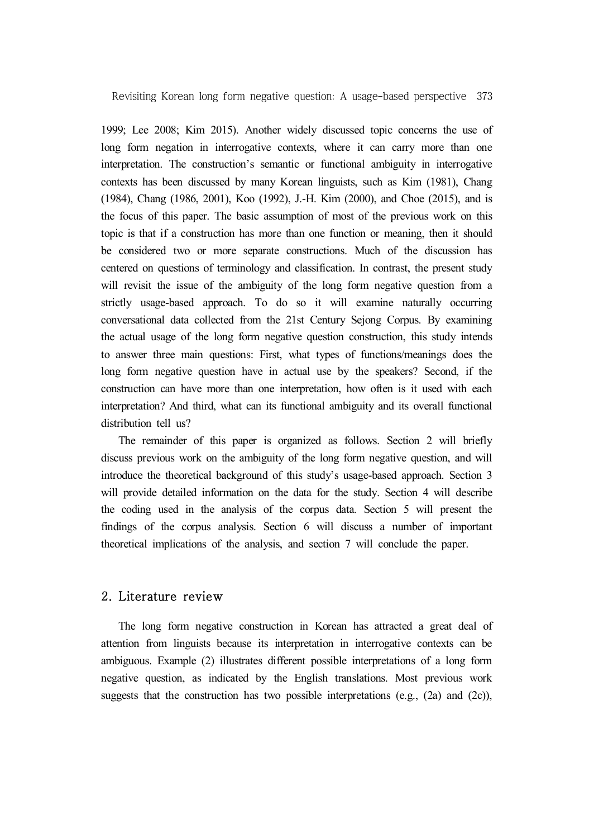1999; Lee 2008; Kim 2015). Another widely discussed topic concerns the use of long form negation in interrogative contexts, where it can carry more than one interpretation. The construction's semantic or functional ambiguity in interrogative contexts has been discussed by many Korean linguists, such as Kim (1981), Chang (1984), Chang (1986, 2001), Koo (1992), J.-H. Kim (2000), and Choe (2015), and is the focus of this paper. The basic assumption of most of the previous work on this topic is that if a construction has more than one function or meaning, then it should be considered two or more separate constructions. Much of the discussion has centered on questions of terminology and classification. In contrast, the present study will revisit the issue of the ambiguity of the long form negative question from a strictly usage-based approach. To do so it will examine naturally occurring conversational data collected from the 21st Century Sejong Corpus. By examining the actual usage of the long form negative question construction, this study intends to answer three main questions: First, what types of functions/meanings does the long form negative question have in actual use by the speakers? Second, if the construction can have more than one interpretation, how often is it used with each interpretation? And third, what can its functional ambiguity and its overall functional distribution tell us?

The remainder of this paper is organized as follows. Section 2 will briefly discuss previous work on the ambiguity of the long form negative question, and will introduce the theoretical background of this study's usage-based approach. Section 3 will provide detailed information on the data for the study. Section 4 will describe the coding used in the analysis of the corpus data. Section 5 will present the findings of the corpus analysis. Section 6 will discuss a number of important theoretical implications of the analysis, and section 7 will conclude the paper.

#### 2. Literature review

The long form negative construction in Korean has attracted a great deal of attention from linguists because its interpretation in interrogative contexts can be ambiguous. Example (2) illustrates different possible interpretations of a long form negative question, as indicated by the English translations. Most previous work suggests that the construction has two possible interpretations (e.g.,  $(2a)$  and  $(2c)$ ),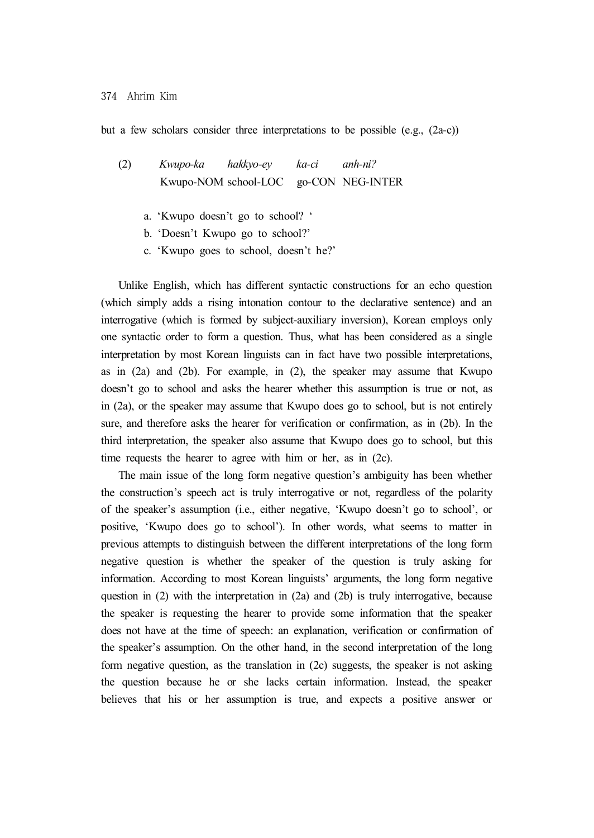but a few scholars consider three interpretations to be possible (e.g., (2a-c))

(2) *Kwupo-ka hakkyo-ey ka-ci anh-ni?* Kwupo-NOM school-LOC go-CON NEG-INTER

- a. 'Kwupo doesn't go to school? '
- b. 'Doesn't Kwupo go to school?'
- c. 'Kwupo goes to school, doesn't he?'

Unlike English, which has different syntactic constructions for an echo question (which simply adds a rising intonation contour to the declarative sentence) and an interrogative (which is formed by subject-auxiliary inversion), Korean employs only one syntactic order to form a question. Thus, what has been considered as a single interpretation by most Korean linguists can in fact have two possible interpretations, as in  $(2a)$  and  $(2b)$ . For example, in  $(2)$ , the speaker may assume that Kwupo doesn't go to school and asks the hearer whether this assumption is true or not, as in (2a), or the speaker may assume that Kwupo does go to school, but is not entirely sure, and therefore asks the hearer for verification or confirmation, as in (2b). In the third interpretation, the speaker also assume that Kwupo does go to school, but this time requests the hearer to agree with him or her, as in (2c).

The main issue of the long form negative question's ambiguity has been whether the construction's speech act is truly interrogative or not, regardless of the polarity of the speaker's assumption (i.e., either negative, 'Kwupo doesn't go to school', or positive, 'Kwupo does go to school'). In other words, what seems to matter in previous attempts to distinguish between the different interpretations of the long form negative question is whether the speaker of the question is truly asking for information. According to most Korean linguists' arguments, the long form negative question in (2) with the interpretation in (2a) and (2b) is truly interrogative, because the speaker is requesting the hearer to provide some information that the speaker does not have at the time of speech: an explanation, verification or confirmation of the speaker's assumption. On the other hand, in the second interpretation of the long form negative question, as the translation in (2c) suggests, the speaker is not asking the question because he or she lacks certain information. Instead, the speaker believes that his or her assumption is true, and expects a positive answer or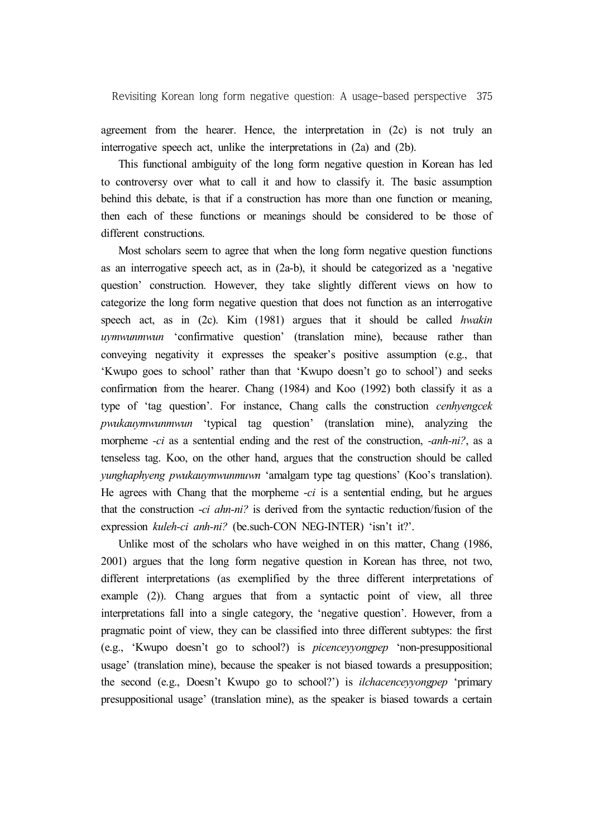agreement from the hearer. Hence, the interpretation in (2c) is not truly an interrogative speech act, unlike the interpretations in (2a) and (2b).

This functional ambiguity of the long form negative question in Korean has led to controversy over what to call it and how to classify it. The basic assumption behind this debate, is that if a construction has more than one function or meaning, then each of these functions or meanings should be considered to be those of different constructions.

Most scholars seem to agree that when the long form negative question functions as an interrogative speech act, as in (2a-b), it should be categorized as a 'negative question' construction. However, they take slightly different views on how to categorize the long form negative question that does not function as an interrogative speech act, as in (2c). Kim (1981) argues that it should be called *hwakin uymwunmwun* 'confirmative question' (translation mine), because rather than conveying negativity it expresses the speaker's positive assumption (e.g., that 'Kwupo goes to school' rather than that 'Kwupo doesn't go to school') and seeks confirmation from the hearer. Chang (1984) and Koo (1992) both classify it as a type of 'tag question'. For instance, Chang calls the construction *cenhyengcek pwukauymwunmwun* 'typical tag question' (translation mine), analyzing the morpheme *-ci* as a sentential ending and the rest of the construction, *-anh-ni?*, as a tenseless tag. Koo, on the other hand, argues that the construction should be called *yunghaphyeng pwukauymwunmuwn* 'amalgam type tag questions' (Koo's translation). He agrees with Chang that the morpheme -*ci* is a sentential ending, but he argues that the construction -*ci ahn-ni?* is derived from the syntactic reduction/fusion of the expression *kuleh-ci anh-ni?* (be.such-CON NEG-INTER) 'isn't it?'.

Unlike most of the scholars who have weighed in on this matter, Chang (1986, 2001) argues that the long form negative question in Korean has three, not two, different interpretations (as exemplified by the three different interpretations of example (2)). Chang argues that from a syntactic point of view, all three interpretations fall into a single category, the 'negative question'. However, from a pragmatic point of view, they can be classified into three different subtypes: the first (e.g., 'Kwupo doesn't go to school?) is *picenceyyongpep* 'non-presuppositional usage' (translation mine), because the speaker is not biased towards a presupposition; the second (e.g., Doesn't Kwupo go to school?') is *ilchacenceyyongpep* 'primary presuppositional usage' (translation mine), as the speaker is biased towards a certain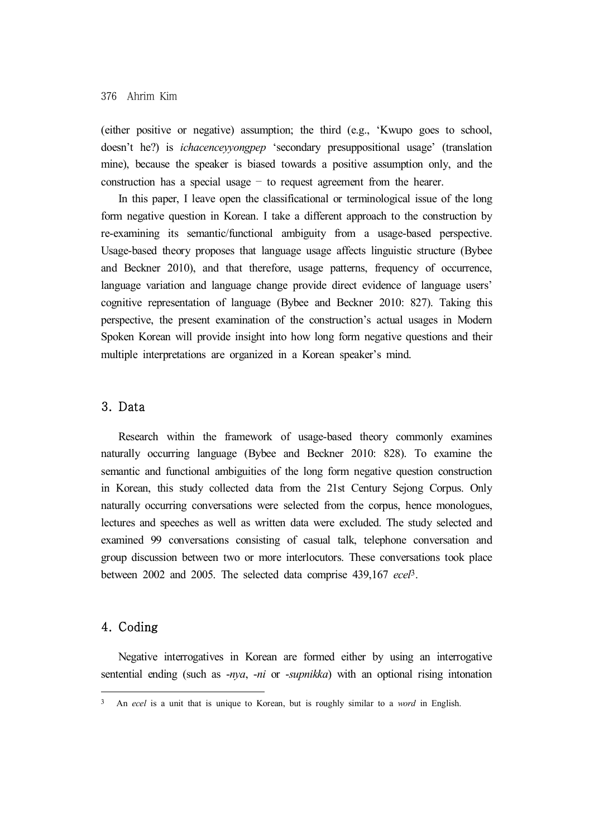#### 376 Ahrim Kim

(either positive or negative) assumption; the third (e.g., 'Kwupo goes to school, doesn't he?) is *ichacenceyyongpep* 'secondary presuppositional usage' (translation mine), because the speaker is biased towards a positive assumption only, and the construction has a special usage – to request agreement from the hearer.

In this paper, I leave open the classificational or terminological issue of the long form negative question in Korean. I take a different approach to the construction by re-examining its semantic/functional ambiguity from a usage-based perspective. Usage-based theory proposes that language usage affects linguistic structure (Bybee and Beckner 2010), and that therefore, usage patterns, frequency of occurrence, language variation and language change provide direct evidence of language users' cognitive representation of language (Bybee and Beckner 2010: 827). Taking this perspective, the present examination of the construction's actual usages in Modern Spoken Korean will provide insight into how long form negative questions and their multiple interpretations are organized in a Korean speaker's mind.

### 3. Data

Research within the framework of usage-based theory commonly examines naturally occurring language (Bybee and Beckner 2010: 828). To examine the semantic and functional ambiguities of the long form negative question construction in Korean, this study collected data from the 21st Century Sejong Corpus. Only naturally occurring conversations were selected from the corpus, hence monologues, lectures and speeches as well as written data were excluded. The study selected and examined 99 conversations consisting of casual talk, telephone conversation and group discussion between two or more interlocutors. These conversations took place between 2002 and 2005. The selected data comprise 439,167 *ecel*3.

## 4. Coding

Negative interrogatives in Korean are formed either by using an interrogative sentential ending (such as -*nya*, -*ni* or -*supnikka*) with an optional rising intonation

<sup>3</sup> An *ecel* is a unit that is unique to Korean, but is roughly similar to a *word* in English.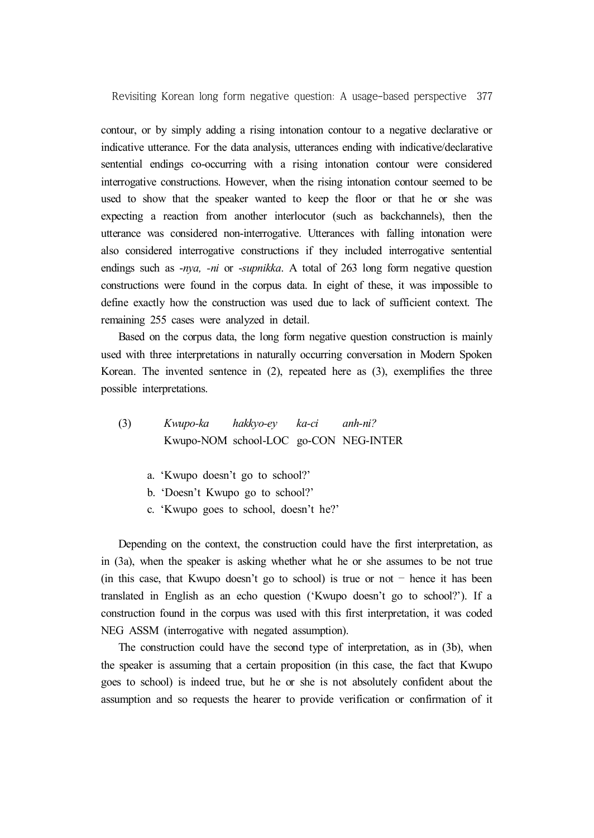contour, or by simply adding a rising intonation contour to a negative declarative or indicative utterance. For the data analysis, utterances ending with indicative/declarative sentential endings co-occurring with a rising intonation contour were considered interrogative constructions. However, when the rising intonation contour seemed to be used to show that the speaker wanted to keep the floor or that he or she was expecting a reaction from another interlocutor (such as backchannels), then the utterance was considered non-interrogative. Utterances with falling intonation were also considered interrogative constructions if they included interrogative sentential endings such as -*nya, -ni* or -*supnikka*. A total of 263 long form negative question constructions were found in the corpus data. In eight of these, it was impossible to define exactly how the construction was used due to lack of sufficient context. The remaining 255 cases were analyzed in detail.

Based on the corpus data, the long form negative question construction is mainly used with three interpretations in naturally occurring conversation in Modern Spoken Korean. The invented sentence in  $(2)$ , repeated here as  $(3)$ , exemplifies the three possible interpretations.

- (3) *Kwupo-ka hakkyo-ey ka-ci anh-ni?* Kwupo-NOM school-LOC go-CON NEG-INTER
	- a. 'Kwupo doesn't go to school?'
	- b. 'Doesn't Kwupo go to school?'
	- c. 'Kwupo goes to school, doesn't he?'

Depending on the context, the construction could have the first interpretation, as in (3a), when the speaker is asking whether what he or she assumes to be not true (in this case, that Kwupo doesn't go to school) is true or not – hence it has been translated in English as an echo question ('Kwupo doesn't go to school?'). If a construction found in the corpus was used with this first interpretation, it was coded NEG ASSM (interrogative with negated assumption).

The construction could have the second type of interpretation, as in (3b), when the speaker is assuming that a certain proposition (in this case, the fact that Kwupo goes to school) is indeed true, but he or she is not absolutely confident about the assumption and so requests the hearer to provide verification or confirmation of it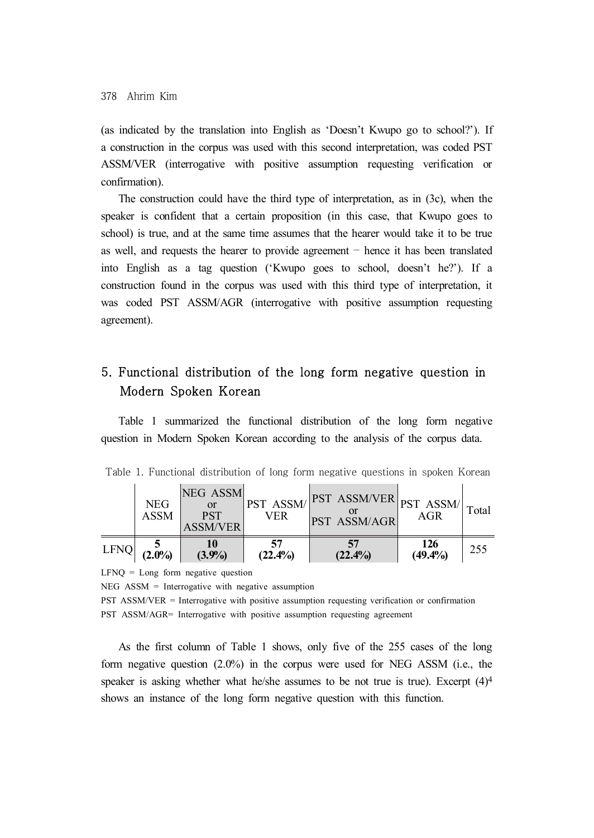(as indicated by the translation into English as 'Doesn't Kwupo go to school?'). If a construction in the corpus was used with this second interpretation, was coded PST ASSM/VER (interrogative with positive assumption requesting verification or confirmation).

The construction could have the third type of interpretation, as in (3c), when the speaker is confident that a certain proposition (in this case, that Kwupo goes to school) is true, and at the same time assumes that the hearer would take it to be true as well, and requests the hearer to provide agreement – hence it has been translated into English as a tag question ('Kwupo goes to school, doesn't he?'). If a construction found in the corpus was used with this third type of interpretation, it was coded PST ASSM/AGR (interrogative with positive assumption requesting agreement).

# 5. Functional distribution of the long form negative question in Modern Spoken Korean

Table 1 summarized the functional distribution of the long form negative question in Modern Spoken Korean according to the analysis of the corpus data.

|      | <b>NEG</b><br><b>ASSM</b> | NEG ASSM<br><b>or</b><br><b>PST</b><br><b>ASSM/VER</b> |                  | $\left \frac{\text{PST} \quad \text{ASSM}}{\text{CFT}}\right $ $\left \frac{\text{PST} \quad \text{ASSM/VER}}{\text{CFT}}\right $ $\left \frac{\text{PST} \quad \text{ASSM}}{\text{AGR}}\right $ Total<br>PST ASSM/AGR |                   |     |
|------|---------------------------|--------------------------------------------------------|------------------|------------------------------------------------------------------------------------------------------------------------------------------------------------------------------------------------------------------------|-------------------|-----|
| LFNQ | $(2.0\%)$                 | 10<br>(3.9%)                                           | 57<br>$(22.4\%)$ | $(22.4\%)$                                                                                                                                                                                                             | 126<br>$(49.4\%)$ | 255 |

Table 1. Functional distribution of long form negative questions in spoken Korean

 $LFNO = Long$  form negative question

 $NEG$   $ASSM$  = Interrogative with negative assumption

PST ASSM/VER = Interrogative with positive assumption requesting verification or confirmation PST ASSM/AGR= Interrogative with positive assumption requesting agreement

As the first column of Table 1 shows, only five of the 255 cases of the long form negative question (2.0%) in the corpus were used for NEG ASSM (i.e., the speaker is asking whether what he/she assumes to be not true is true). Excerpt  $(4)^4$ shows an instance of the long form negative question with this function.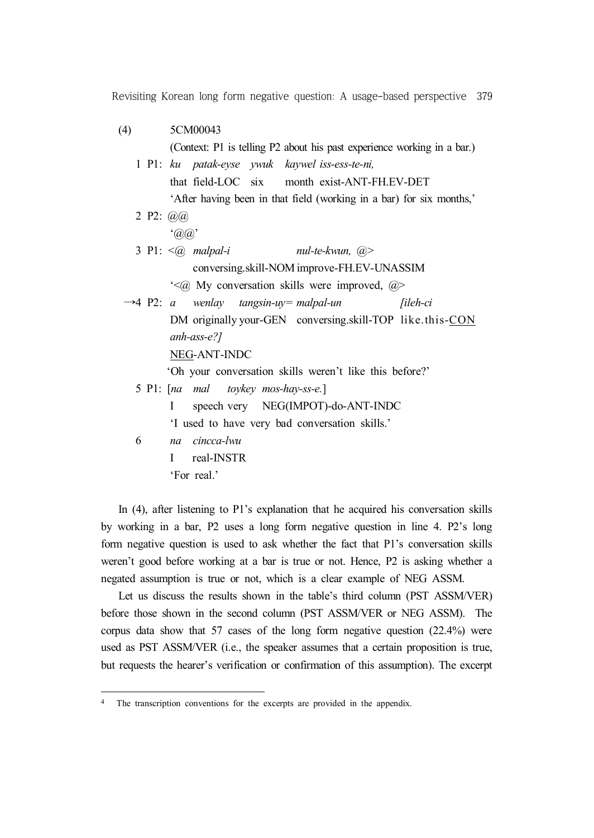| (4)                    | 5CM00043                                                                |
|------------------------|-------------------------------------------------------------------------|
|                        | (Context: P1 is telling P2 about his past experience working in a bar.) |
|                        | 1 P1: ku patak-eyse ywuk kaywel iss-ess-te-ni,                          |
|                        | that field-LOC six month exist-ANT-FH.EV-DET                            |
|                        | 'After having been in that field (working in a bar) for six months,'    |
| 2 P2: $\omega(\omega)$ |                                                                         |
|                        | $\hat{a}(a)$                                                            |
|                        | 3 P1: $\leq$ (a) malpal-i<br>nul-te-kwun, @>                            |
|                        | conversing.skill-NOM improve-FH.EV-UNASSIM                              |
|                        | $\leq$ ( $\alpha$ ) My conversation skills were improved, $\alpha$      |
|                        | $\rightarrow$ 4 P2: a wenlay tangsin-uy= malpal-un [ileh-ci             |
|                        | DM originally your-GEN conversing skill-TOP like this-CON               |
|                        | $anh\text{-}ass\text{-}e$ ?]                                            |
|                        | NEG-ANT-INDC                                                            |
|                        | 'Oh your conversation skills weren't like this before?'                 |
|                        | 5 P1: [na mal toykey mos-hay-ss-e.]                                     |
|                        | speech very NEG(IMPOT)-do-ANT-INDC<br>L                                 |
|                        | 'I used to have very bad conversation skills.'                          |
| 6                      | na cincca-lwu                                                           |
|                        |                                                                         |

'For real.'

In (4), after listening to P1's explanation that he acquired his conversation skills by working in a bar, P2 uses a long form negative question in line 4. P2's long form negative question is used to ask whether the fact that P1's conversation skills weren't good before working at a bar is true or not. Hence, P2 is asking whether a negated assumption is true or not, which is a clear example of NEG ASSM.

Let us discuss the results shown in the table's third column (PST ASSM/VER) before those shown in the second column (PST ASSM/VER or NEG ASSM). The corpus data show that 57 cases of the long form negative question (22.4%) were used as PST ASSM/VER (i.e., the speaker assumes that a certain proposition is true, but requests the hearer's verification or confirmation of this assumption). The excerpt

<sup>4</sup> The transcription conventions for the excerpts are provided in the appendix.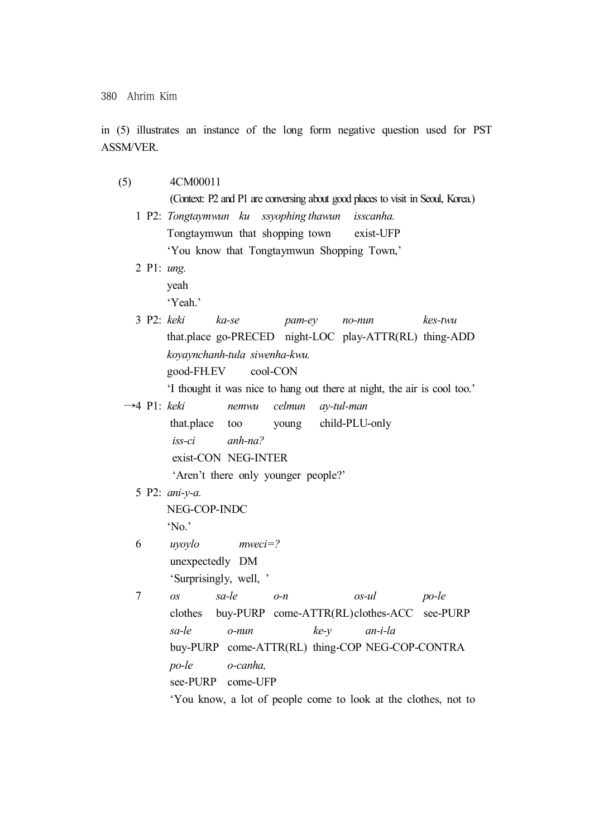380 Ahrim Kim

in (5) illustrates an instance of the long form negative question used for PST ASSM/VER.

(5) 4CM00011

(Context: P2 and P1 are conversing about good places to visit in Seoul, Korea.)

- 1 P2: *Tongtaymwun ku ssyophing thawun isscanha.* Tongtaymwun that shopping town exist-UFP 'You know that Tongtaymwun Shopping Town,'
- 2 P1: *ung.*

yeah

'Yeah.'

3 P2: *keki ka-se pam-ey no-nun kes-twu*  that.place go-PRECED night-LOC play-ATTR(RL) thing-ADD *koyaynchanh-tula siwenha-kwu.* good-FH.EV cool-CON

'I thought it was nice to hang out there at night, the air is cool too.'

- →4 P1: *keki nemwu celmun ay-tul-man*  that.place too young child-PLU-only *iss-ci anh-na?* exist-CON NEG-INTER 'Aren't there only younger people?'
	- 5 P2: *ani-y-a.*

NEG-COP-INDC 'No.'

- 6 *uyoylo mweci=?* unexpectedly DM 'Surprisingly, well, '
- 7 *os sa-le o-n os-ul po-le* clothes buy-PURP come-ATTR(RL)clothes-ACC see-PURP *sa-le o-nun ke-y an-i-la*  buy-PURP come-ATTR(RL) thing-COP NEG-COP-CONTRA *po-le o-canha,* see-PURP come-UFP 'You know, a lot of people come to look at the clothes, not to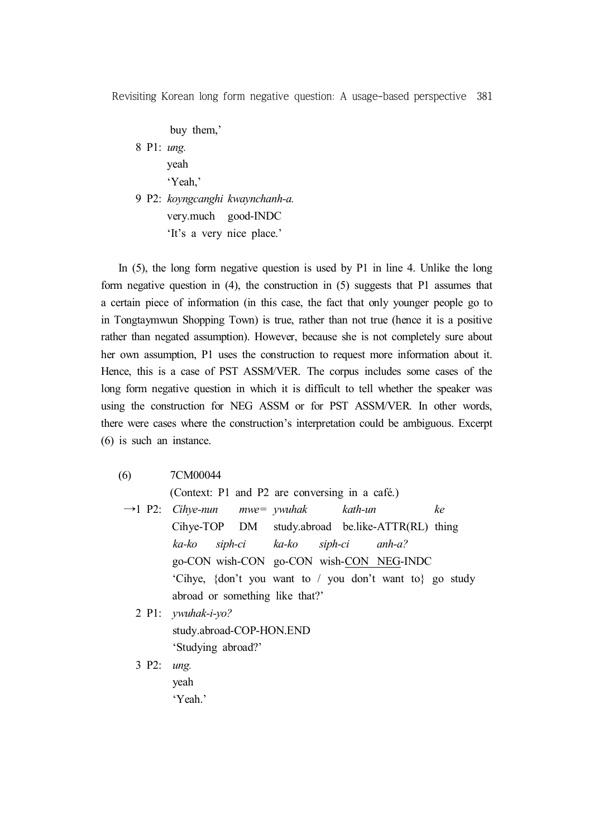buy them,' 8 P1: *ung.* yeah 'Yeah,'

9 P2: *koyngcanghi kwaynchanh-a.* very.much good-INDC 'It's a very nice place.'

In (5), the long form negative question is used by P1 in line 4. Unlike the long form negative question in (4), the construction in (5) suggests that P1 assumes that a certain piece of information (in this case, the fact that only younger people go to in Tongtaymwun Shopping Town) is true, rather than not true (hence it is a positive rather than negated assumption). However, because she is not completely sure about her own assumption, P1 uses the construction to request more information about it. Hence, this is a case of PST ASSM/VER. The corpus includes some cases of the long form negative question in which it is difficult to tell whether the speaker was using the construction for NEG ASSM or for PST ASSM/VER. In other words, there were cases where the construction's interpretation could be ambiguous. Excerpt (6) is such an instance.

(6) 7CM00044

(Context: P1 and P2 are conversing in a café.)

→1 P2: *Cihye-nun mwe= ywuhak kath-un ke* Cihye-TOP DM study.abroad be.like-ATTR(RL) thing *ka-ko siph-ci ka-ko siph-ci anh-a?* go-CON wish-CON go-CON wish-CON NEG-INDC 'Cihye, {don't you want to / you don't want to} go study abroad or something like that?'

2 P1: *ywuhak-i-yo?*

study.abroad-COP-HON.END 'Studying abroad?'

3 P2: *ung.* yeah 'Yeah.'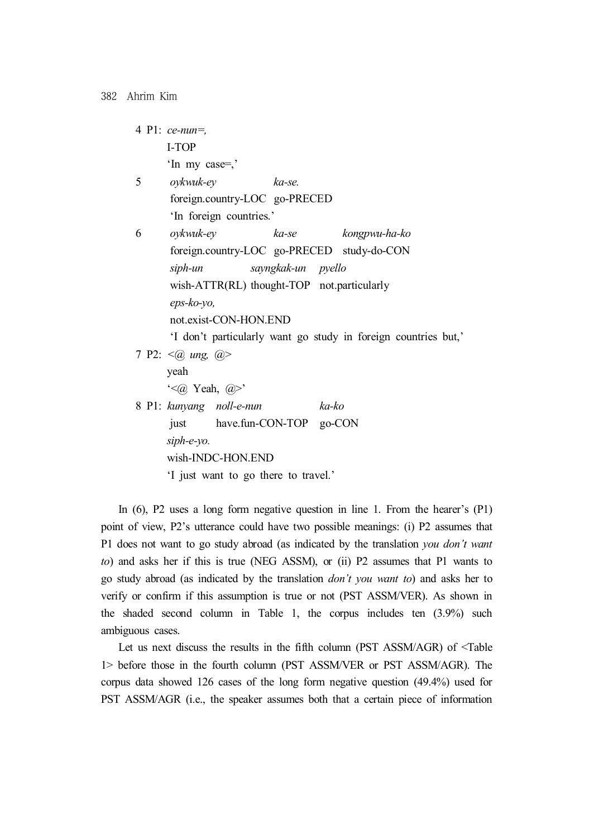|   | 4 P1: $ce$ -nun=,                                              |  |  |  |  |
|---|----------------------------------------------------------------|--|--|--|--|
|   | <b>I-TOP</b>                                                   |  |  |  |  |
|   | 'In my case=,'                                                 |  |  |  |  |
| 5 | oykwuk-ey<br>ka-se.                                            |  |  |  |  |
|   | foreign.country-LOC go-PRECED                                  |  |  |  |  |
|   | 'In foreign countries.'                                        |  |  |  |  |
| 6 | oykwuk-ey<br>ka-se kongpwu-ha-ko                               |  |  |  |  |
|   | foreign.country-LOC go-PRECED study-do-CON                     |  |  |  |  |
|   | sayngkak-un pyello<br>siph-un                                  |  |  |  |  |
|   | wish-ATTR(RL) thought-TOP not.particularly                     |  |  |  |  |
|   | eps-ko-yo,                                                     |  |  |  |  |
|   | not.exist-CON-HON.END                                          |  |  |  |  |
|   | 'I don't particularly want go study in foreign countries but,' |  |  |  |  |
|   | 7 P2: $\leq$ <i>(a)</i> ung, $\geq$                            |  |  |  |  |
|   | yeah                                                           |  |  |  |  |
|   | $\leq$ $\alpha$ Yeah, $\alpha$ >'                              |  |  |  |  |
|   | 8 P1: kunyang noll-e-nun<br>ka-ko                              |  |  |  |  |
|   | have.fun-CON-TOP go-CON<br>just                                |  |  |  |  |
|   | siph-e-yo.                                                     |  |  |  |  |
|   | wish-INDC-HON.END                                              |  |  |  |  |
|   | I just want to go there to travel.'                            |  |  |  |  |

In (6), P2 uses a long form negative question in line 1. From the hearer's (P1) point of view, P2's utterance could have two possible meanings: (i) P2 assumes that P1 does not want to go study abroad (as indicated by the translation *you don't want to*) and asks her if this is true (NEG ASSM), or (ii) P2 assumes that P1 wants to go study abroad (as indicated by the translation *don't you want to*) and asks her to verify or confirm if this assumption is true or not (PST ASSM/VER). As shown in the shaded second column in Table 1, the corpus includes ten (3.9%) such ambiguous cases.

Let us next discuss the results in the fifth column (PST ASSM/AGR) of <Table 1> before those in the fourth column (PST ASSM/VER or PST ASSM/AGR). The corpus data showed 126 cases of the long form negative question (49.4%) used for PST ASSM/AGR (i.e., the speaker assumes both that a certain piece of information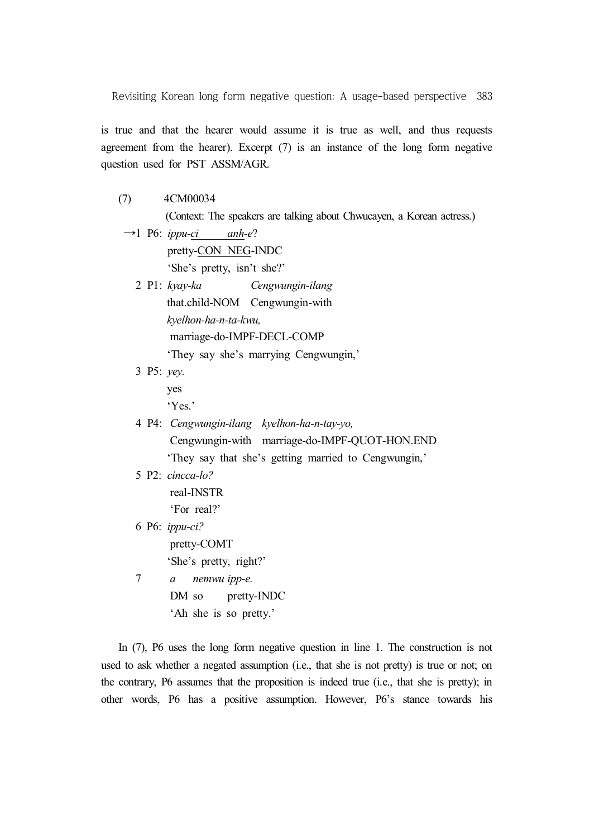is true and that the hearer would assume it is true as well, and thus requests agreement from the hearer). Excerpt  $(7)$  is an instance of the long form negative question used for PST ASSM/AGR.

(7) 4CM00034

(Context: The speakers are talking about Chwucayen, a Korean actress.)

- $\rightarrow$ 1 P6: *ippu-ci* anh-e? pretty-CON NEG-INDC 'She's pretty, isn't she?'
	- 2 P1: *kyay-ka Cengwungin-ilang* that.child-NOM Cengwungin-with *kyelhon-ha-n-ta-kwu,* marriage-do-IMPF-DECL-COMP 'They say she's marrying Cengwungin,'
	- 3 P5: *yey.*

yes 'Yes.'

- 4 P4: *Cengwungin-ilang kyelhon-ha-n-tay-yo,* Cengwungin-with marriage-do-IMPF-QUOT-HON.END 'They say that she's getting married to Cengwungin,'
- 5 P2: *cincca-lo?*

real-INSTR 'For real?'

- 
- 6 P6: *ippu-ci?* pretty-COMT 'She's pretty, right?'
- 7 *a nemwu ipp-e.* DM so pretty-INDC 'Ah she is so pretty.'

In (7), P6 uses the long form negative question in line 1. The construction is not used to ask whether a negated assumption (i.e., that she is not pretty) is true or not; on the contrary, P6 assumes that the proposition is indeed true (i.e., that she is pretty); in other words, P6 has a positive assumption. However, P6's stance towards his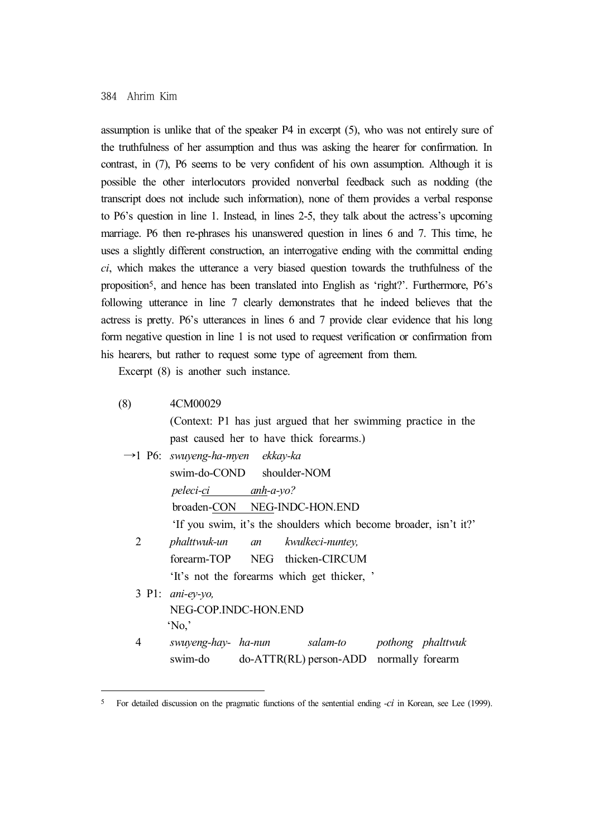assumption is unlike that of the speaker P4 in excerpt (5), who was not entirely sure of the truthfulness of her assumption and thus was asking the hearer for confirmation. In contrast, in (7), P6 seems to be very confident of his own assumption. Although it is possible the other interlocutors provided nonverbal feedback such as nodding (the transcript does not include such information), none of them provides a verbal response to P6's question in line 1. Instead, in lines 2-5, they talk about the actress's upcoming marriage. P6 then re-phrases his unanswered question in lines 6 and 7. This time, he uses a slightly different construction, an interrogative ending with the committal ending *ci*, which makes the utterance a very biased question towards the truthfulness of the proposition5, and hence has been translated into English as 'right?'. Furthermore, P6's following utterance in line 7 clearly demonstrates that he indeed believes that the actress is pretty. P6's utterances in lines 6 and 7 provide clear evidence that his long form negative question in line 1 is not used to request verification or confirmation from his hearers, but rather to request some type of agreement from them.

Excerpt  $(8)$  is another such instance.

(8) 4CM00029 (Context: P1 has just argued that her swimming practice in the past caused her to have thick forearms.) →1 P6: *swuyeng-ha-myen ekkay-ka* swim-do-COND shoulder-NOM *peleci-ci anh-a-yo?* broaden-CON NEG-INDC-HON.END 'If you swim, it's the shoulders which become broader, isn't it?' 2 *phalttwuk-un an kwulkeci-nuntey,* forearm-TOP NEG thicken-CIRCUM 'It's not the forearms which get thicker, ' 3 P1: *ani-ey-yo,* NEG-COP.INDC-HON.END  $'$ No $'$ 4 *swuyeng-hay- ha-nun salam-to pothong phalttwuk* swim-do do-ATTR(RL) person-ADD normally forearm

<sup>5</sup> For detailed discussion on the pragmatic functions of the sentential ending -*ci* in Korean, see Lee (1999).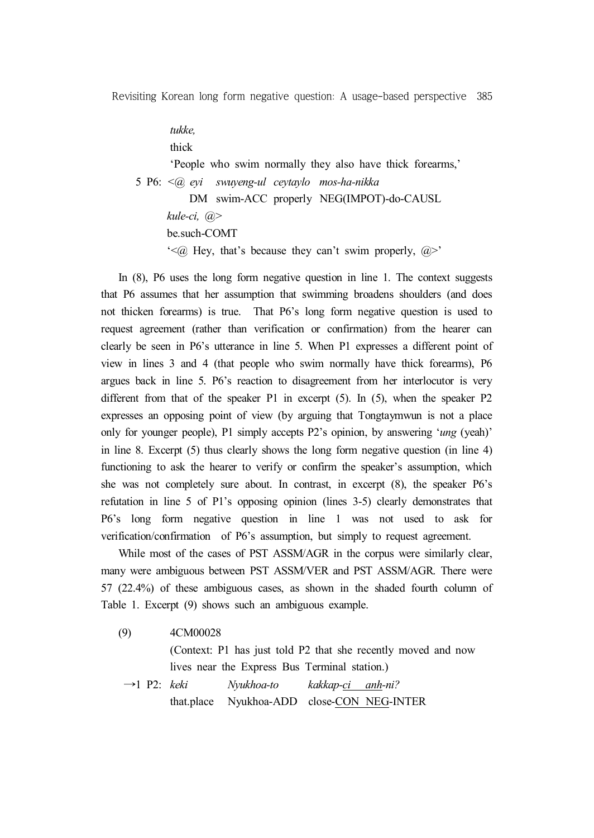*tukke,*

thick

'People who swim normally they also have thick forearms,' 5 P6: *<@ eyi swuyeng-ul ceytaylo mos-ha-nikka* DM swim-ACC properly NEG(IMPOT)-do-CAUSL *kule-ci, @>* be.such-COMT  $\leq$  ( $\alpha$ ). Hey, that's because they can't swim properly,  $\alpha$  $>$ '

In (8), P6 uses the long form negative question in line 1. The context suggests that P6 assumes that her assumption that swimming broadens shoulders (and does not thicken forearms) is true. That P6's long form negative question is used to request agreement (rather than verification or confirmation) from the hearer can clearly be seen in P6's utterance in line 5. When P1 expresses a different point of view in lines 3 and 4 (that people who swim normally have thick forearms), P6 argues back in line 5. P6's reaction to disagreement from her interlocutor is very different from that of the speaker  $P1$  in excerpt  $(5)$ . In  $(5)$ , when the speaker  $P2$ expresses an opposing point of view (by arguing that Tongtaymwun is not a place only for younger people), P1 simply accepts P2's opinion, by answering '*ung* (yeah)' in line 8. Excerpt (5) thus clearly shows the long form negative question (in line 4) functioning to ask the hearer to verify or confirm the speaker's assumption, which she was not completely sure about. In contrast, in excerpt (8), the speaker P6's refutation in line 5 of P1's opposing opinion (lines 3-5) clearly demonstrates that P6's long form negative question in line 1 was not used to ask for verification/confirmation of P6's assumption, but simply to request agreement.

While most of the cases of PST ASSM/AGR in the corpus were similarly clear, many were ambiguous between PST ASSM/VER and PST ASSM/AGR. There were 57 (22.4%) of these ambiguous cases, as shown in the shaded fourth column of Table 1. Excerpt (9) shows such an ambiguous example.

- (9) 4CM00028
	- (Context: P1 has just told P2 that she recently moved and now lives near the Express Bus Terminal station.)
	- →1 P2: *keki Nyukhoa-to kakkap-ci anh-ni?* that.place Nyukhoa-ADD close-CON NEG-INTER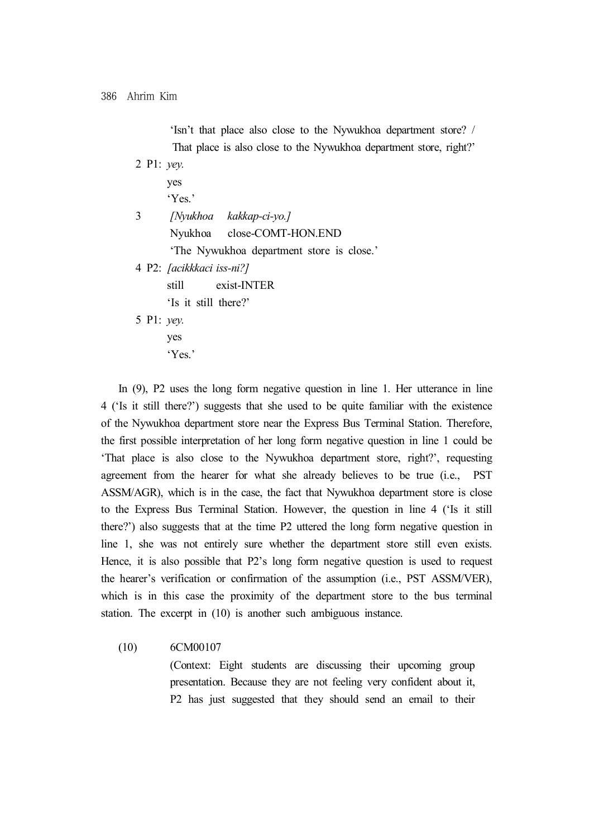| 'Isn't that place also close to the Nywukhoa department store? /   |
|--------------------------------------------------------------------|
| That place is also close to the Nywukhoa department store, right?' |
| 2 P1: $yey$ .                                                      |
| yes                                                                |
| 'Yes.'                                                             |
| [Nyukhoa kakkap-ci-yo.]<br>3                                       |
| Nyukhoa close-COMT-HON.END                                         |
| 'The Nywukhoa department store is close.'                          |
| 4 P2: <i>[acikkkaci iss-ni?]</i>                                   |
| exist-INTER<br>still                                               |
| 'Is it still there?'                                               |
| 5 Pl: <i>vev.</i>                                                  |
| yes                                                                |
| 'Yes.'                                                             |
|                                                                    |

In (9), P2 uses the long form negative question in line 1. Her utterance in line 4 ('Is it still there?') suggests that she used to be quite familiar with the existence of the Nywukhoa department store near the Express Bus Terminal Station. Therefore, the first possible interpretation of her long form negative question in line 1 could be 'That place is also close to the Nywukhoa department store, right?', requesting agreement from the hearer for what she already believes to be true (i.e., PST ASSM/AGR), which is in the case, the fact that Nywukhoa department store is close to the Express Bus Terminal Station. However, the question in line 4 ('Is it still there?') also suggests that at the time P2 uttered the long form negative question in line 1, she was not entirely sure whether the department store still even exists. Hence, it is also possible that P2's long form negative question is used to request the hearer's verification or confirmation of the assumption (i.e., PST ASSM/VER), which is in this case the proximity of the department store to the bus terminal station. The excerpt in (10) is another such ambiguous instance.

(10) 6CM00107

(Context: Eight students are discussing their upcoming group presentation. Because they are not feeling very confident about it, P2 has just suggested that they should send an email to their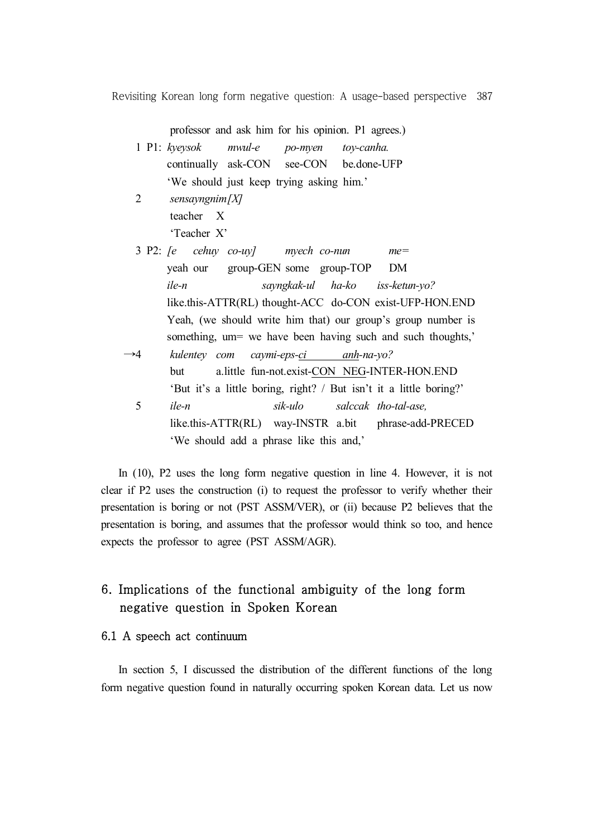professor and ask him for his opinion. P1 agrees.)

|  | 1 P1: $k$ yeysok                         | mwul-e po-myen toy-canha. |                                         |
|--|------------------------------------------|---------------------------|-----------------------------------------|
|  |                                          |                           | continually ask-CON see-CON be.done-UFP |
|  | 'We should just keep trying asking him.' |                           |                                         |
|  | sensayngnim $[X]$                        |                           |                                         |

- teacher X 'Teacher X'
- 3 P2: *[e cehuy co-uy] myech co-nun me=* yeah our group-GEN some group-TOP DM *ile-n sayngkak-ul ha-ko iss-ketun-yo?* like.this-ATTR(RL) thought-ACC do-CON exist-UFP-HON.END Yeah, (we should write him that) our group's group number is something, um= we have been having such and such thoughts,' →4 *kulentey com caymi-eps-ci anh-na-yo?* but a.little fun-not.exist-CON NEG-INTER-HON.END 'But it's a little boring, right? / But isn't it a little boring?' 5 *ile-n sik-ulo salccak tho-tal-ase,* like.this-ATTR(RL) way-INSTR a.bit phrase-add-PRECED 'We should add a phrase like this and,'

In (10), P2 uses the long form negative question in line 4. However, it is not clear if P2 uses the construction (i) to request the professor to verify whether their presentation is boring or not (PST ASSM/VER), or (ii) because P2 believes that the presentation is boring, and assumes that the professor would think so too, and hence expects the professor to agree (PST ASSM/AGR).

# 6. Implications of the functional ambiguity of the long form negative question in Spoken Korean

## 6.1 A speech act continuum

In section 5, I discussed the distribution of the different functions of the long form negative question found in naturally occurring spoken Korean data. Let us now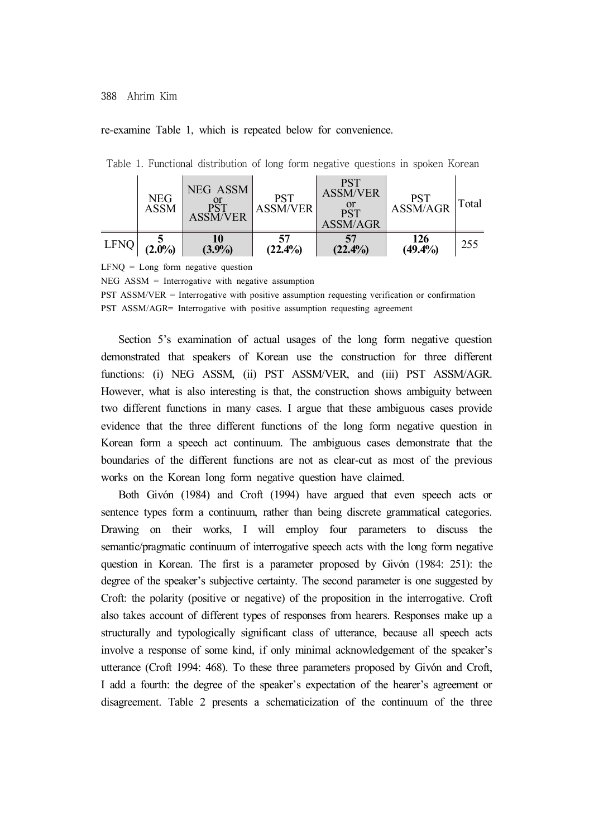#### 388 Ahrim Kim

#### re-examine Table 1, which is repeated below for convenience.

|      | <b>NEG</b><br>ASSM | NEG ASSM<br><b>ASSM/VER</b> | <b>PST</b><br>ASSM/VER | PST<br><b>ASSM/VER</b><br>or<br>PST<br>ASSM/AGR | PST<br>ASSM/AGR   | Total |
|------|--------------------|-----------------------------|------------------------|-------------------------------------------------|-------------------|-------|
| LFNQ | $(2.0\%)$          | (3.9%)                      | 57<br>$(22.4\%)$       | $(22.4\%)$                                      | 126<br>$(49.4\%)$ | 255   |

Table 1. Functional distribution of long form negative questions in spoken Korean

 $LFNO = Long$  form negative question

 $NEG$   $ASSM$  = Interrogative with negative assumption

PST ASSM/VER = Interrogative with positive assumption requesting verification or confirmation PST ASSM/AGR= Interrogative with positive assumption requesting agreement

Section 5's examination of actual usages of the long form negative question demonstrated that speakers of Korean use the construction for three different functions: (i) NEG ASSM, (ii) PST ASSM/VER, and (iii) PST ASSM/AGR. However, what is also interesting is that, the construction shows ambiguity between two different functions in many cases. I argue that these ambiguous cases provide evidence that the three different functions of the long form negative question in Korean form a speech act continuum. The ambiguous cases demonstrate that the boundaries of the different functions are not as clear-cut as most of the previous works on the Korean long form negative question have claimed.

Both Givón (1984) and Croft (1994) have argued that even speech acts or sentence types form a continuum, rather than being discrete grammatical categories. Drawing on their works, I will employ four parameters to discuss the semantic/pragmatic continuum of interrogative speech acts with the long form negative question in Korean. The first is a parameter proposed by Givón (1984: 251): the degree of the speaker's subjective certainty. The second parameter is one suggested by Croft: the polarity (positive or negative) of the proposition in the interrogative. Croft also takes account of different types of responses from hearers. Responses make up a structurally and typologically significant class of utterance, because all speech acts involve a response of some kind, if only minimal acknowledgement of the speaker's utterance (Croft 1994: 468). To these three parameters proposed by Givón and Croft, I add a fourth: the degree of the speaker's expectation of the hearer's agreement or disagreement. Table 2 presents a schematicization of the continuum of the three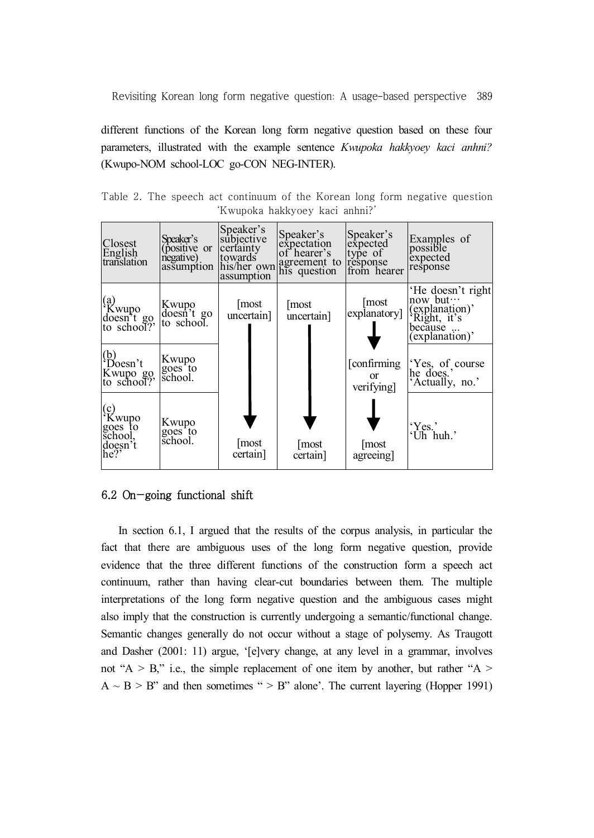different functions of the Korean long form negative question based on these four parameters, illustrated with the example sentence *Kwupoka hakkyoey kaci anhni?* (Kwupo-NOM school-LOC go-CON NEG-INTER).

Table 2. The speech act continuum of the Korean long form negative question 'Kwupoka hakkyoey kaci anhni?'

| Closest<br>English<br>translation                    | Speaker's<br>(positive or<br>negative)<br>assumption | Speaker's<br>subjective<br>certainty<br>towards<br>assumption | Speaker's<br>expectation<br>of hearer's<br>his/her own agreement to<br>his question | Speaker's<br>expected<br>type of<br>response<br>from hearer | Examples of<br>possible<br>expected<br>response                                            |
|------------------------------------------------------|------------------------------------------------------|---------------------------------------------------------------|-------------------------------------------------------------------------------------|-------------------------------------------------------------|--------------------------------------------------------------------------------------------|
| (a)<br>Kwupo<br>doesn't go<br>to school?             | Kwupo<br>doesn't go<br>to school.                    | most<br>uncertain]                                            | most<br>uncertain]                                                                  | most<br>explanatory]                                        | 'He doesn't right<br>now but…<br>(explanation)'<br>Right, it's<br>because<br>(explanation) |
| $(b)$<br>Doesn't<br>Kwupo go,<br>to school?          | Kwupo<br>goes to<br>school.                          |                                                               |                                                                                     | [confirming]<br><sub>or</sub><br>verifying                  | Yes, of course<br>he does.'<br>Actually, no.'                                              |
| (c)<br>Kwupo<br>goes to<br>school.<br>doesn't<br>he? | Kwupo<br>goes to<br>school.                          | [most<br>certain                                              | most<br>certain                                                                     | most<br>agreeing]                                           | 'Yes.'<br>$\overrightarrow{Ch}$ huh.'                                                      |

## 6.2 On-going functional shift

In section 6.1, I argued that the results of the corpus analysis, in particular the fact that there are ambiguous uses of the long form negative question, provide evidence that the three different functions of the construction form a speech act continuum, rather than having clear-cut boundaries between them. The multiple interpretations of the long form negative question and the ambiguous cases might also imply that the construction is currently undergoing a semantic/functional change. Semantic changes generally do not occur without a stage of polysemy. As Traugott and Dasher (2001: 11) argue, '[e]very change, at any level in a grammar, involves not "A  $>$  B," i.e., the simple replacement of one item by another, but rather "A  $>$  $A \sim B$  > B" and then sometimes " > B" alone'. The current layering (Hopper 1991)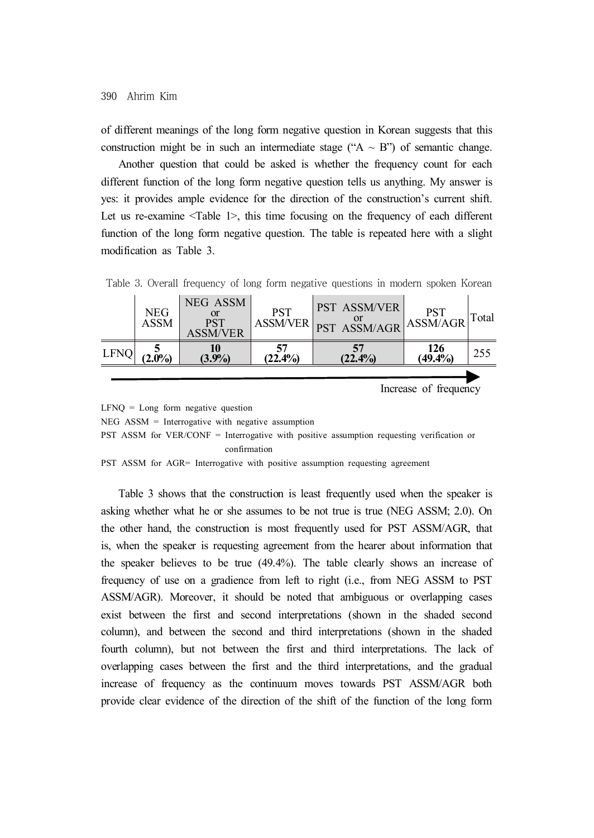of different meanings of the long form negative question in Korean suggests that this construction might be in such an intermediate stage (" $A \sim B$ ") of semantic change.

Another question that could be asked is whether the frequency count for each different function of the long form negative question tells us anything. My answer is yes: it provides ample evidence for the direction of the construction's current shift. Let us re-examine <Table 1>, this time focusing on the frequency of each different function of the long form negative question. The table is repeated here with a slight modification as Table 3.

|             | <b>NEG</b><br><b>ASSM</b> | NEG ASSM<br>PST<br><b>ASSM/VER</b> |        | <b>PST ASSM/VER</b><br>ASSMVER PST ASSM/AGR ASSM/AGR |                        | Total |
|-------------|---------------------------|------------------------------------|--------|------------------------------------------------------|------------------------|-------|
| <b>LFNQ</b> | $(2.0\%)$                 | (3.9%)                             | (22.4% | (22.4%                                               | $\frac{126}{(49.4\%)}$ | 255   |
|             |                           |                                    |        |                                                      |                        |       |

Table 3. Overall frequency of long form negative questions in modern spoken Korean

Increase of frequency

 $LFNO = Long$  form negative question

 $NEG$   $ASSM$  = Interrogative with negative assumption

PST ASSM for VER/CONF = Interrogative with positive assumption requesting verification or confirmation

PST ASSM for AGR= Interrogative with positive assumption requesting agreement

Table 3 shows that the construction is least frequently used when the speaker is asking whether what he or she assumes to be not true is true (NEG ASSM; 2.0). On the other hand, the construction is most frequently used for PST ASSM/AGR, that is, when the speaker is requesting agreement from the hearer about information that the speaker believes to be true (49.4%). The table clearly shows an increase of frequency of use on a gradience from left to right (i.e., from NEG ASSM to PST ASSM/AGR). Moreover, it should be noted that ambiguous or overlapping cases exist between the first and second interpretations (shown in the shaded second column), and between the second and third interpretations (shown in the shaded fourth column), but not between the first and third interpretations. The lack of overlapping cases between the first and the third interpretations, and the gradual increase of frequency as the continuum moves towards PST ASSM/AGR both provide clear evidence of the direction of the shift of the function of the long form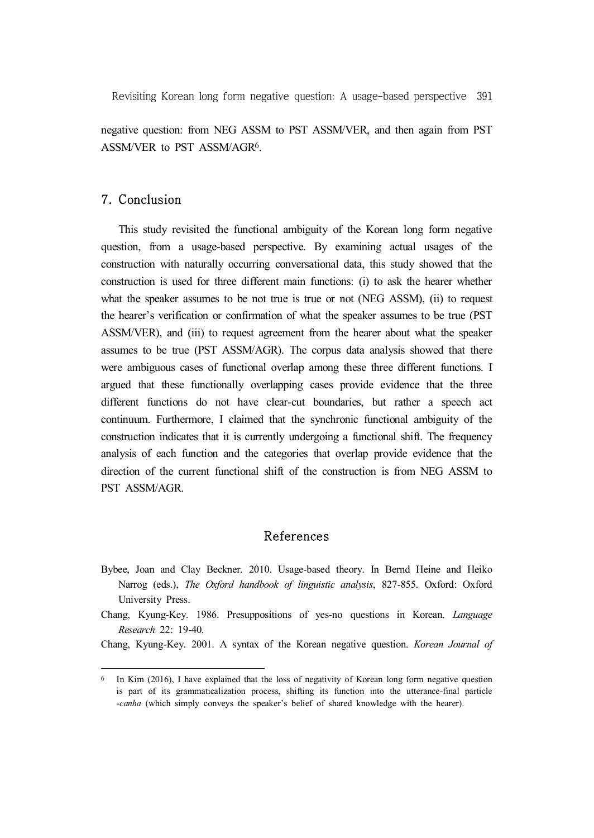negative question: from NEG ASSM to PST ASSM/VER, and then again from PST ASSM/VER to PST ASSM/AGR6.

## 7. Conclusion

This study revisited the functional ambiguity of the Korean long form negative question, from a usage-based perspective. By examining actual usages of the construction with naturally occurring conversational data, this study showed that the construction is used for three different main functions: (i) to ask the hearer whether what the speaker assumes to be not true is true or not (NEG ASSM), (ii) to request the hearer's verification or confirmation of what the speaker assumes to be true (PST ASSM/VER), and (iii) to request agreement from the hearer about what the speaker assumes to be true (PST ASSM/AGR). The corpus data analysis showed that there were ambiguous cases of functional overlap among these three different functions. I argued that these functionally overlapping cases provide evidence that the three different functions do not have clear-cut boundaries, but rather a speech act continuum. Furthermore, I claimed that the synchronic functional ambiguity of the construction indicates that it is currently undergoing a functional shift. The frequency analysis of each function and the categories that overlap provide evidence that the direction of the current functional shift of the construction is from NEG ASSM to PST ASSM/AGR.

#### References

- Bybee, Joan and Clay Beckner. 2010. Usage-based theory. In Bernd Heine and Heiko Narrog (eds.), *The Oxford handbook of linguistic analysis*, 827-855. Oxford: Oxford University Press.
- Chang, Kyung-Key. 1986. Presuppositions of yes-no questions in Korean. *Language Research* 22: 19-40.

Chang, Kyung-Key. 2001. A syntax of the Korean negative question. *Korean Journal of* 

<sup>6</sup> In Kim (2016), I have explained that the loss of negativity of Korean long form negative question is part of its grammaticalization process, shifting its function into the utterance-final particle -*canha* (which simply conveys the speaker's belief of shared knowledge with the hearer).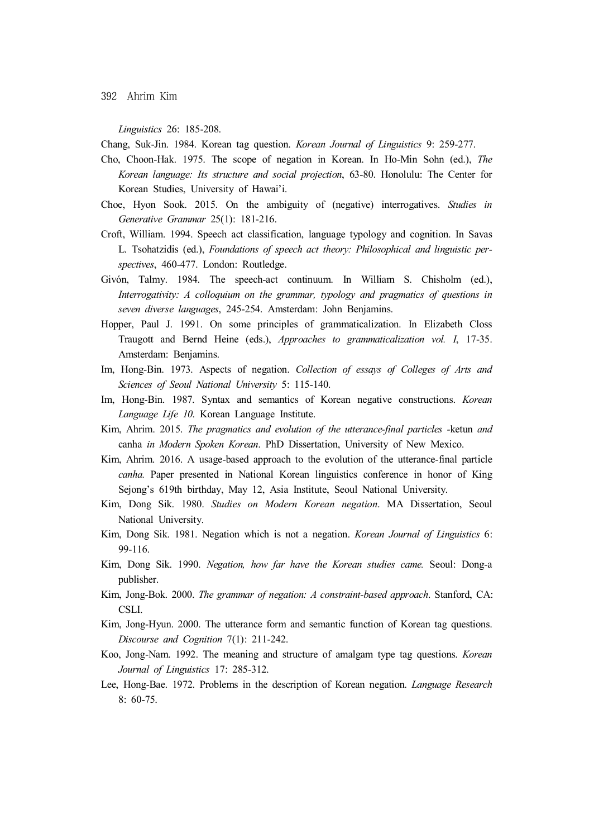*Linguistics* 26: 185-208.

Chang, Suk-Jin. 1984. Korean tag question. *Korean Journal of Linguistics* 9: 259-277.

- Cho, Choon-Hak. 1975. The scope of negation in Korean. In Ho-Min Sohn (ed.), *The Korean language: Its structure and social projection*, 63-80. Honolulu: The Center for Korean Studies, University of Hawai'i.
- Choe, Hyon Sook. 2015. On the ambiguity of (negative) interrogatives. *Studies in Generative Grammar* 25(1): 181-216.
- Croft, William. 1994. Speech act classification, language typology and cognition. In Savas L. Tsohatzidis (ed.), *Foundations of speech act theory: Philosophical and linguistic perspectives*, 460-477. London: Routledge.
- Givón, Talmy. 1984. The speech-act continuum. In William S. Chisholm (ed.), *Interrogativity: A colloquium on the grammar, typology and pragmatics of questions in seven diverse languages*, 245-254. Amsterdam: John Benjamins.
- Hopper, Paul J. 1991. On some principles of grammaticalization. In Elizabeth Closs Traugott and Bernd Heine (eds.), *Approaches to grammaticalization vol. I*, 17-35. Amsterdam: Benjamins.
- Im, Hong-Bin. 1973. Aspects of negation. *Collection of essays of Colleges of Arts and Sciences of Seoul National University* 5: 115-140.
- Im, Hong-Bin. 1987. Syntax and semantics of Korean negative constructions. *Korean Language Life 10*. Korean Language Institute.
- Kim, Ahrim. 2015. *The pragmatics and evolution of the utterance-final particles -*ketun *and*  canha *in Modern Spoken Korean*. PhD Dissertation, University of New Mexico.
- Kim, Ahrim. 2016. A usage-based approach to the evolution of the utterance-final particle *canha.* Paper presented in National Korean linguistics conference in honor of King Sejong's 619th birthday, May 12, Asia Institute, Seoul National University.
- Kim, Dong Sik. 1980. *Studies on Modern Korean negation*. MA Dissertation, Seoul National University.
- Kim, Dong Sik. 1981. Negation which is not a negation. *Korean Journal of Linguistics* 6: 99-116.
- Kim, Dong Sik. 1990. *Negation, how far have the Korean studies came.* Seoul: Dong-a publisher.
- Kim, Jong-Bok. 2000. *The grammar of negation: A constraint-based approach*. Stanford, CA: CSLI.
- Kim, Jong-Hyun. 2000. The utterance form and semantic function of Korean tag questions. *Discourse and Cognition* 7(1): 211-242.
- Koo, Jong-Nam. 1992. The meaning and structure of amalgam type tag questions. *Korean Journal of Linguistics* 17: 285-312.
- Lee, Hong-Bae. 1972. Problems in the description of Korean negation. *Language Research*  8: 60-75.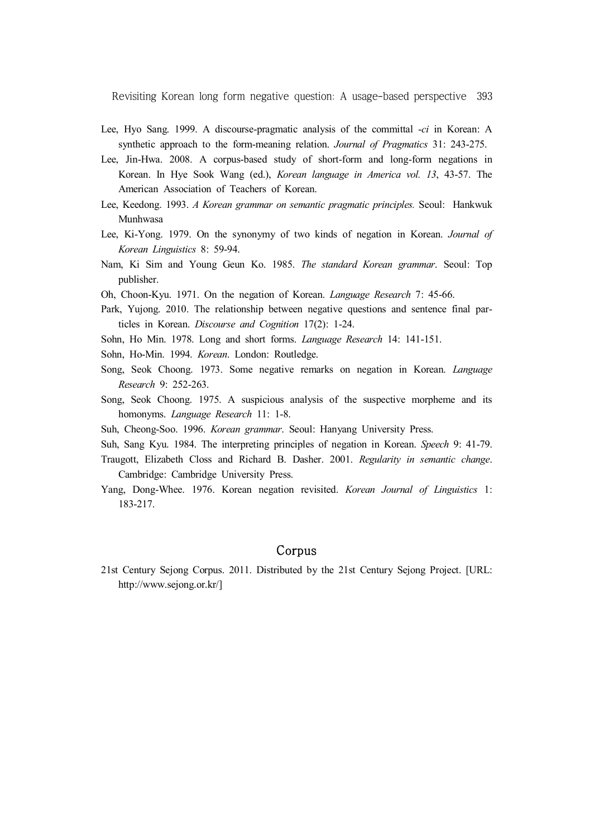- Lee, Hyo Sang. 1999. A discourse-pragmatic analysis of the committal -*ci* in Korean: A synthetic approach to the form-meaning relation. *Journal of Pragmatics* 31: 243-275.
- Lee, Jin-Hwa. 2008. A corpus-based study of short-form and long-form negations in Korean. In Hye Sook Wang (ed.), *Korean language in America vol. 13*, 43-57. The American Association of Teachers of Korean.
- Lee, Keedong. 1993. *A Korean grammar on semantic pragmatic principles.* Seoul: Hankwuk Munhwasa
- Lee, Ki-Yong. 1979. On the synonymy of two kinds of negation in Korean. *Journal of Korean Linguistics* 8: 59-94.
- Nam, Ki Sim and Young Geun Ko. 1985. *The standard Korean grammar*. Seoul: Top publisher.
- Oh, Choon-Kyu. 1971. On the negation of Korean. *Language Research* 7: 45-66.
- Park, Yujong. 2010. The relationship between negative questions and sentence final particles in Korean. *Discourse and Cognition* 17(2): 1-24.
- Sohn, Ho Min. 1978. Long and short forms. *Language Research* 14: 141-151.
- Sohn, Ho-Min. 1994. *Korean*. London: Routledge.
- Song, Seok Choong. 1973. Some negative remarks on negation in Korean. *Language Research* 9: 252-263.
- Song, Seok Choong. 1975. A suspicious analysis of the suspective morpheme and its homonyms. *Language Research* 11: 1-8.
- Suh, Cheong-Soo. 1996. *Korean grammar*. Seoul: Hanyang University Press.
- Suh, Sang Kyu. 1984. The interpreting principles of negation in Korean. *Speech* 9: 41-79.
- Traugott, Elizabeth Closs and Richard B. Dasher. 2001. *Regularity in semantic change*. Cambridge: Cambridge University Press.
- Yang, Dong-Whee. 1976. Korean negation revisited. *Korean Journal of Linguistics* 1: 183-217.

## Corpus

21st Century Sejong Corpus. 2011. Distributed by the 21st Century Sejong Project. [URL: http://www.sejong.or.kr/]